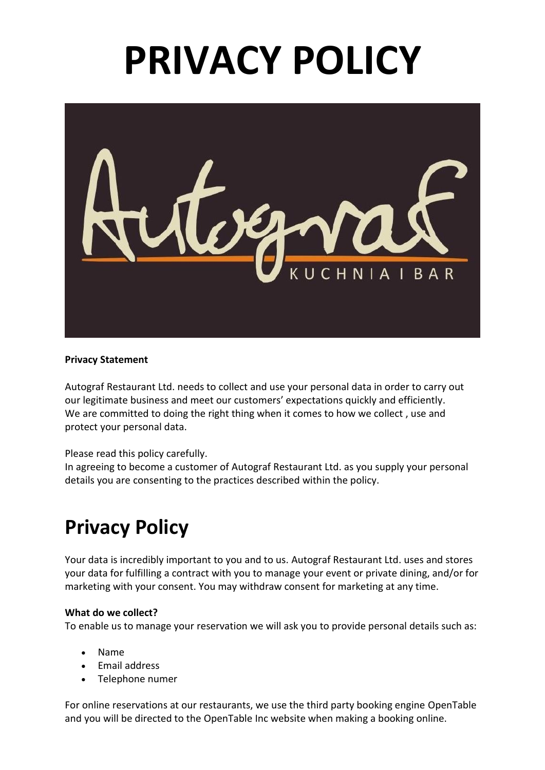# **PRIVACY POLICY**



## **Privacy Statement**

Autograf Restaurant Ltd. needs to collect and use your personal data in order to carry out our legitimate business and meet our customers' expectations quickly and efficiently. We are committed to doing the right thing when it comes to how we collect , use and protect your personal data.

#### Please read this policy carefully.

In agreeing to become a customer of Autograf Restaurant Ltd. as you supply your personal details you are consenting to the practices described within the policy.

# **Privacy Policy**

Your data is incredibly important to you and to us. Autograf Restaurant Ltd. uses and stores your data for fulfilling a contract with you to manage your event or private dining, and/or for marketing with your consent. You may withdraw consent for marketing at any time.

#### **What do we collect?**

To enable us to manage your reservation we will ask you to provide personal details such as:

- Name
- Email address
- Telephone numer

For online reservations at our restaurants, we use the third party booking engine OpenTable and you will be directed to the OpenTable Inc website when making a booking online.